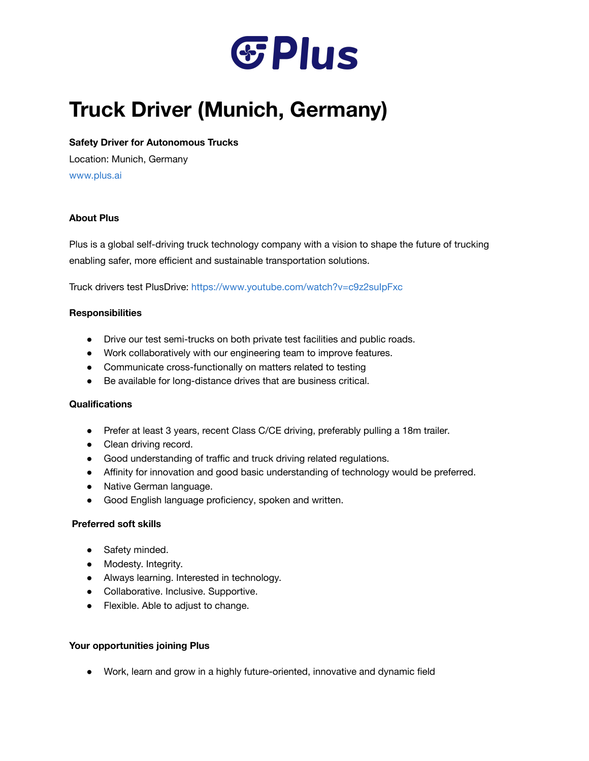

# **Truck Driver (Munich, Germany)**

# **Safety Driver for Autonomous Trucks**

Location: Munich, Germany [www.plus.ai](http://www.plus.ai/)

# **About Plus**

Plus is a global self-driving truck technology company with a vision to shape the future of trucking enabling safer, more efficient and sustainable transportation solutions.

Truck drivers test PlusDrive: <https://www.youtube.com/watch?v=c9z2suIpFxc>

## **Responsibilities**

- Drive our test semi-trucks on both private test facilities and public roads.
- Work collaboratively with our engineering team to improve features.
- Communicate cross-functionally on matters related to testing
- Be available for long-distance drives that are business critical.

## **Qualifications**

- Prefer at least 3 years, recent Class C/CE driving, preferably pulling a 18m trailer.
- Clean driving record.
- Good understanding of traffic and truck driving related regulations.
- Affinity for innovation and good basic understanding of technology would be preferred.
- Native German language.
- Good English language proficiency, spoken and written.

## **Preferred soft skills**

- Safety minded.
- Modesty. Integrity.
- Always learning. Interested in technology.
- Collaborative. Inclusive. Supportive.
- Flexible. Able to adjust to change.

## **Your opportunities joining Plus**

● Work, learn and grow in a highly future-oriented, innovative and dynamic field